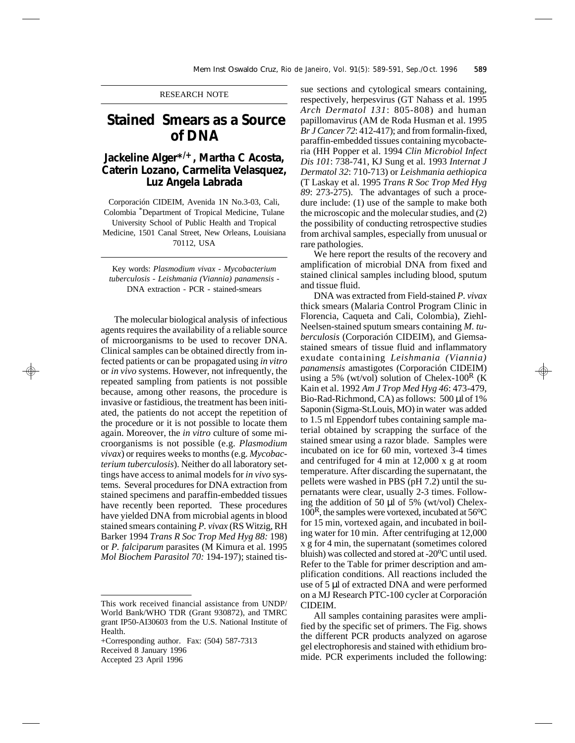## RESEARCH NOTE

## **Stained Smears as a Source of DNA**

## **Jackeline Alger\*/+, Martha C Acosta, Caterin Lozano, Carmelita Velasquez, Luz Angela Labrada**

Corporación CIDEIM, Avenida 1N No.3-03, Cali, Colombia \*Department of Tropical Medicine, Tulane University School of Public Health and Tropical Medicine, 1501 Canal Street, New Orleans, Louisiana 70112, USA

Key words: *Plasmodium vivax - Mycobacterium tuberculosis - Leishmania (Viannia) panamensis* - DNA extraction - PCR - stained-smears

The molecular biological analysis of infectious agents requires the availability of a reliable source of microorganisms to be used to recover DNA. Clinical samples can be obtained directly from infected patients or can be propagated using *in vitro* or *in vivo* systems. However, not infrequently, the repeated sampling from patients is not possible because, among other reasons, the procedure is invasive or fastidious, the treatment has been initiated, the patients do not accept the repetition of the procedure or it is not possible to locate them again. Moreover, the *in vitro* culture of some microorganisms is not possible (e.g. *Plasmodium vivax*) or requires weeks to months (e.g. *Mycobacterium tuberculosis*). Neither do all laboratory settings have access to animal models for *in vivo* systems. Several procedures for DNA extraction from stained specimens and paraffin-embedded tissues have recently been reported. These procedures have yielded DNA from microbial agents in blood stained smears containing *P. vivax* (RS Witzig, RH Barker 1994 *Trans R Soc Trop Med Hyg 88:* 198) or *P. falciparum* parasites (M Kimura et al. 1995 *Mol Biochem Parasitol 70:* 194-197); stained tis-

+Corresponding author. Fax: (504) 587-7313 Received 8 January 1996

Accepted 23 April 1996

sue sections and cytological smears containing, respectively, herpesvirus (GT Nahass et al. 1995 *Arch Dermatol 131*: 805-808) and human papillomavirus (AM de Roda Husman et al. 1995 *Br J Cancer 72*: 412-417); and from formalin-fixed, paraffin-embedded tissues containing mycobacteria (HH Popper et al. 1994 *Clin Microbiol Infect Dis 101*: 738-741, KJ Sung et al. 1993 *Internat J Dermatol 32*: 710-713) or *Leishmania aethiopica* (T Laskay et al. 1995 *Trans R Soc Trop Med Hyg 89*: 273-275). The advantages of such a procedure include: (1) use of the sample to make both the microscopic and the molecular studies, and (2) the possibility of conducting retrospective studies from archival samples, especially from unusual or rare pathologies.

We here report the results of the recovery and amplification of microbial DNA from fixed and stained clinical samples including blood, sputum and tissue fluid.

DNA was extracted from Field-stained *P. vivax* thick smears (Malaria Control Program Clinic in Florencia, Caqueta and Cali, Colombia), Ziehl-Neelsen-stained sputum smears containing *M. tuberculosis* (Corporación CIDEIM), and Giemsastained smears of tissue fluid and inflammatory exudate containing *Leishmania (Viannia) panamensis* amastigotes (Corporación CIDEIM) using a 5% (wt/vol) solution of Chelex-100<sup>R</sup> (K) Kain et al. 1992 *Am J Trop Med Hyg 46*: 473-479, Bio-Rad-Richmond, CA) as follows: 500 μl of 1% Saponin (Sigma-St.Louis, MO) in water was added to 1.5 ml Eppendorf tubes containing sample material obtained by scrapping the surface of the stained smear using a razor blade. Samples were incubated on ice for 60 min, vortexed 3-4 times and centrifuged for 4 min at 12,000 x g at room temperature. After discarding the supernatant, the pellets were washed in PBS (pH 7.2) until the supernatants were clear, usually 2-3 times. Following the addition of 50 μl of 5% (wt/vol) Chelex- $100<sup>R</sup>$ , the samples were vortexed, incubated at  $56<sup>o</sup>C$ for 15 min, vortexed again, and incubated in boiling water for 10 min. After centrifuging at 12,000 x g for 4 min, the supernatant (sometimes colored bluish) was collected and stored at  $-20^{\circ}$ C until used. Refer to the Table for primer description and amplification conditions. All reactions included the use of 5 μl of extracted DNA and were performed on a MJ Research PTC-100 cycler at Corporación CIDEIM.

All samples containing parasites were amplified by the specific set of primers. The Fig. shows the different PCR products analyzed on agarose gel electrophoresis and stained with ethidium bromide. PCR experiments included the following:

This work received financial assistance from UNDP/ World Bank/WHO TDR (Grant 930872), and TMRC grant IP50-AI30603 from the U.S. National Institute of Health.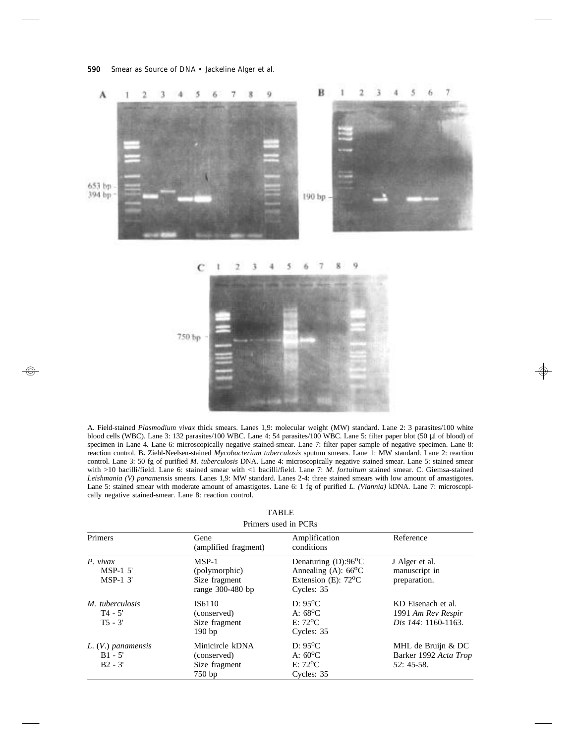

A. Field-stained *Plasmodium vivax* thick smears. Lanes 1,9: molecular weight (MW) standard. Lane 2: 3 parasites/100 white blood cells (WBC). Lane 3: 132 parasites/100 WBC. Lane 4: 54 parasites/100 WBC. Lane 5: filter paper blot (50 μl of blood) of specimen in Lane 4. Lane 6: microscopically negative stained-smear. Lane 7: filter paper sample of negative specimen. Lane 8: reaction control. B**.** Ziehl-Neelsen-stained *Mycobacterium tuberculosis* sputum smears. Lane 1: MW standard. Lane 2: reaction control. Lane 3: 50 fg of purified *M. tuberculosis* DNA. Lane 4: microscopically negative stained smear. Lane 5: stained smear with >10 bacilli/field. Lane 6: stained smear with <1 bacilli/field. Lane 7: *M. fortuitum* stained smear. C. Giemsa-stained *Leishmania (V) panamensis* smears. Lanes 1,9: MW standard. Lanes 2-4: three stained smears with low amount of amastigotes. Lane 5: stained smear with moderate amount of amastigotes. Lane 6: 1 fg of purified *L. (Viannia)* kDNA. Lane 7: microscopically negative stained-smear. Lane 8: reaction control.

| Primers used in PCRs                           |                                                                 |                                                                                                                     |                                                                 |  |  |  |  |  |
|------------------------------------------------|-----------------------------------------------------------------|---------------------------------------------------------------------------------------------------------------------|-----------------------------------------------------------------|--|--|--|--|--|
| Primers                                        | Gene<br>(amplified fragment)                                    | Amplification<br>conditions                                                                                         | Reference<br>J Alger et al.<br>manuscript in<br>preparation.    |  |  |  |  |  |
| $P.$ vivax<br>$MSP-1$ 5<br>$MSP-1$ 3'          | $MSP-1$<br>(polymorphic)<br>Size fragment<br>range $300-480$ bp | Denaturing $(D)$ :96 <sup>o</sup> C<br>Annealing (A): $66^{\circ}$ C<br>Extension (E): $72^{\circ}$ C<br>Cycles: 35 |                                                                 |  |  |  |  |  |
| M. tuberculosis<br>$T4 - 5'$<br>$T5 - 3'$      | IS6110<br>(conserved)<br>Size fragment<br>190 <sub>bp</sub>     | $D: 95^{\circ}C$<br>A: $68^{\circ}$ C<br>$E: 72^{\circ}C$<br>Cycles: 35                                             | KD Eisenach et al.<br>1991 Am Rev Respir<br>Dis 144: 1160-1163. |  |  |  |  |  |
| $L. (V.)$ panamensis<br>$B1 - 5'$<br>$B2 - 3'$ | Minicircle kDNA<br>(conserved)<br>Size fragment<br>750bp        | $D: 95^{\circ}C$<br>A: $60^{\circ}$ C<br>$E:72^{\circ}C$<br>Cycles: 35                                              | MHL de Bruijn & DC<br>Barker 1992 Acta Trop<br>$52:45-58$ .     |  |  |  |  |  |

| <b>TABLE</b> |  |  |  |  |  |             |  |  |
|--------------|--|--|--|--|--|-------------|--|--|
|              |  |  |  |  |  | $\cdot$ non |  |  |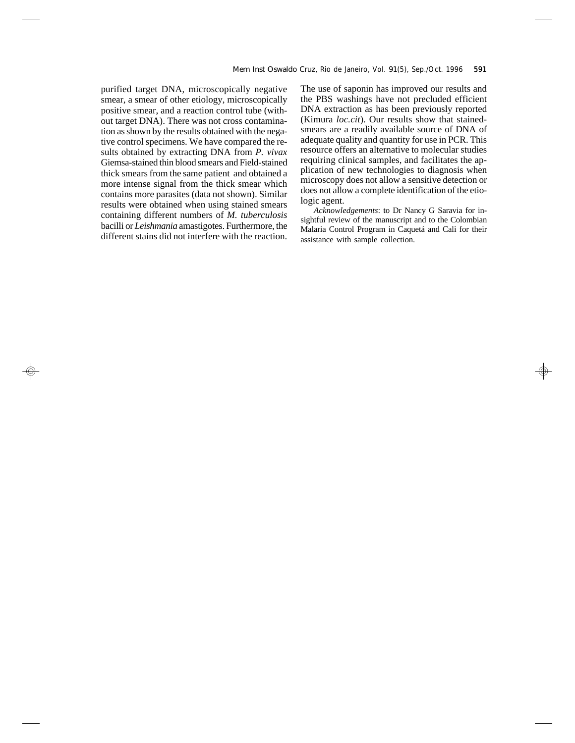purified target DNA, microscopically negative smear, a smear of other etiology, microscopically positive smear, and a reaction control tube (without target DNA). There was not cross contamination as shown by the results obtained with the negative control specimens. We have compared the results obtained by extracting DNA from *P. vivax* Giemsa-stained thin blood smears and Field-stained thick smears from the same patient and obtained a more intense signal from the thick smear which contains more parasites (data not shown). Similar results were obtained when using stained smears containing different numbers of *M. tuberculosis* bacilli or *Leishmania* amastigotes. Furthermore, the different stains did not interfere with the reaction.

The use of saponin has improved our results and the PBS washings have not precluded efficient DNA extraction as has been previously reported (Kimura *loc.cit*). Our results show that stainedsmears are a readily available source of DNA of adequate quality and quantity for use in PCR. This resource offers an alternative to molecular studies requiring clinical samples, and facilitates the application of new technologies to diagnosis when microscopy does not allow a sensitive detection or does not allow a complete identification of the etiologic agent.

*Acknowledgements*: to Dr Nancy G Saravia for insightful review of the manuscript and to the Colombian Malaria Control Program in Caquetá and Cali for their assistance with sample collection.